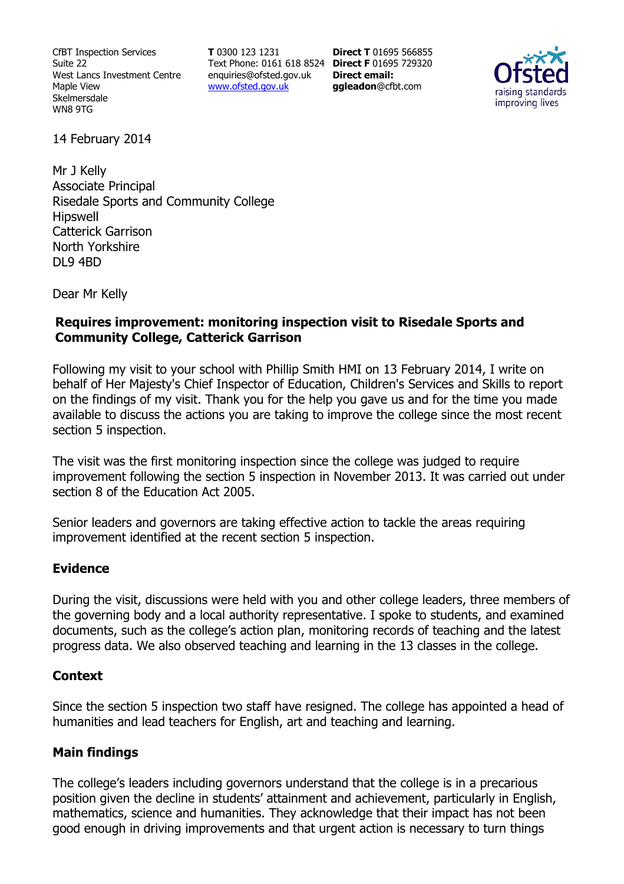CfBT Inspection Services Suite 22 West Lancs Investment Centre Maple View Skelmersdale WN8 9TG

**T** 0300 123 1231 Text Phone: 0161 618 8524 **Direct F** 01695 729320 enquiries@ofsted.gov.uk www.ofsted.gov.uk

**Direct T** 01695 566855 **Direct email: ggleadon**@cfbt.com



14 February 2014

Mr J Kelly Associate Principal Risedale Sports and Community College Hipswell Catterick Garrison North Yorkshire DL9 4BD

Dear Mr Kelly

### **Requires improvement: monitoring inspection visit to Risedale Sports and Community College, Catterick Garrison**

Following my visit to your school with Phillip Smith HMI on 13 February 2014, I write on behalf of Her Majesty's Chief Inspector of Education, Children's Services and Skills to report on the findings of my visit. Thank you for the help you gave us and for the time you made available to discuss the actions you are taking to improve the college since the most recent section 5 inspection.

The visit was the first monitoring inspection since the college was judged to require improvement following the section 5 inspection in November 2013. It was carried out under section 8 of the Education Act 2005.

Senior leaders and governors are taking effective action to tackle the areas requiring improvement identified at the recent section 5 inspection.

#### **Evidence**

During the visit, discussions were held with you and other college leaders, three members of the governing body and a local authority representative. I spoke to students, and examined documents, such as the college's action plan, monitoring records of teaching and the latest progress data. We also observed teaching and learning in the 13 classes in the college.

#### **Context**

Since the section 5 inspection two staff have resigned. The college has appointed a head of humanities and lead teachers for English, art and teaching and learning.

## **Main findings**

The college's leaders including governors understand that the college is in a precarious position given the decline in students' attainment and achievement, particularly in English, mathematics, science and humanities. They acknowledge that their impact has not been good enough in driving improvements and that urgent action is necessary to turn things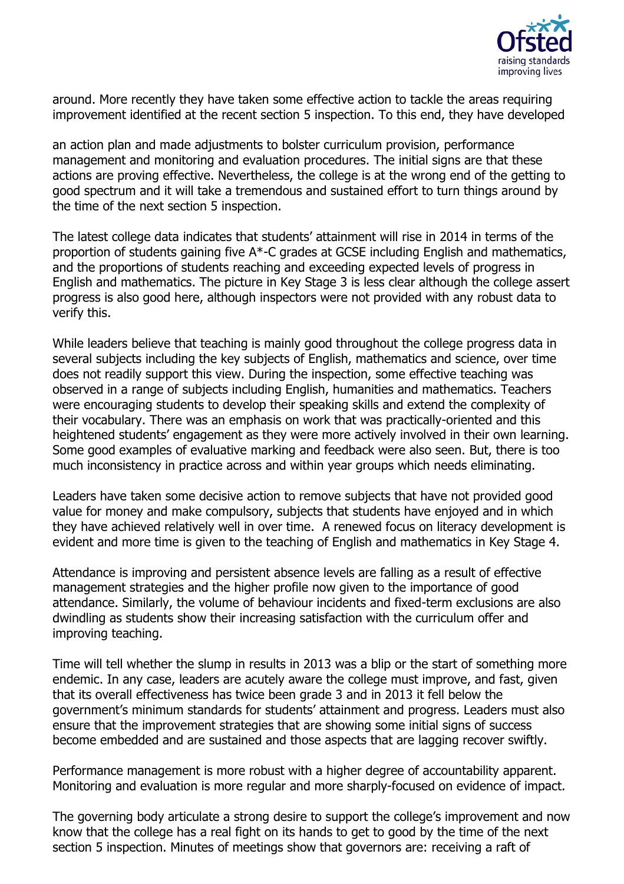

around. More recently they have taken some effective action to tackle the areas requiring improvement identified at the recent section 5 inspection. To this end, they have developed

an action plan and made adjustments to bolster curriculum provision, performance management and monitoring and evaluation procedures. The initial signs are that these actions are proving effective. Nevertheless, the college is at the wrong end of the getting to good spectrum and it will take a tremendous and sustained effort to turn things around by the time of the next section 5 inspection.

The latest college data indicates that students' attainment will rise in 2014 in terms of the proportion of students gaining five A\*-C grades at GCSE including English and mathematics, and the proportions of students reaching and exceeding expected levels of progress in English and mathematics. The picture in Key Stage 3 is less clear although the college assert progress is also good here, although inspectors were not provided with any robust data to verify this.

While leaders believe that teaching is mainly good throughout the college progress data in several subjects including the key subjects of English, mathematics and science, over time does not readily support this view. During the inspection, some effective teaching was observed in a range of subjects including English, humanities and mathematics. Teachers were encouraging students to develop their speaking skills and extend the complexity of their vocabulary. There was an emphasis on work that was practically-oriented and this heightened students' engagement as they were more actively involved in their own learning. Some good examples of evaluative marking and feedback were also seen. But, there is too much inconsistency in practice across and within year groups which needs eliminating.

Leaders have taken some decisive action to remove subjects that have not provided good value for money and make compulsory, subjects that students have enjoyed and in which they have achieved relatively well in over time. A renewed focus on literacy development is evident and more time is given to the teaching of English and mathematics in Key Stage 4.

Attendance is improving and persistent absence levels are falling as a result of effective management strategies and the higher profile now given to the importance of good attendance. Similarly, the volume of behaviour incidents and fixed-term exclusions are also dwindling as students show their increasing satisfaction with the curriculum offer and improving teaching.

Time will tell whether the slump in results in 2013 was a blip or the start of something more endemic. In any case, leaders are acutely aware the college must improve, and fast, given that its overall effectiveness has twice been grade 3 and in 2013 it fell below the government's minimum standards for students' attainment and progress. Leaders must also ensure that the improvement strategies that are showing some initial signs of success become embedded and are sustained and those aspects that are lagging recover swiftly.

Performance management is more robust with a higher degree of accountability apparent. Monitoring and evaluation is more regular and more sharply-focused on evidence of impact.

The governing body articulate a strong desire to support the college's improvement and now know that the college has a real fight on its hands to get to good by the time of the next section 5 inspection. Minutes of meetings show that governors are: receiving a raft of